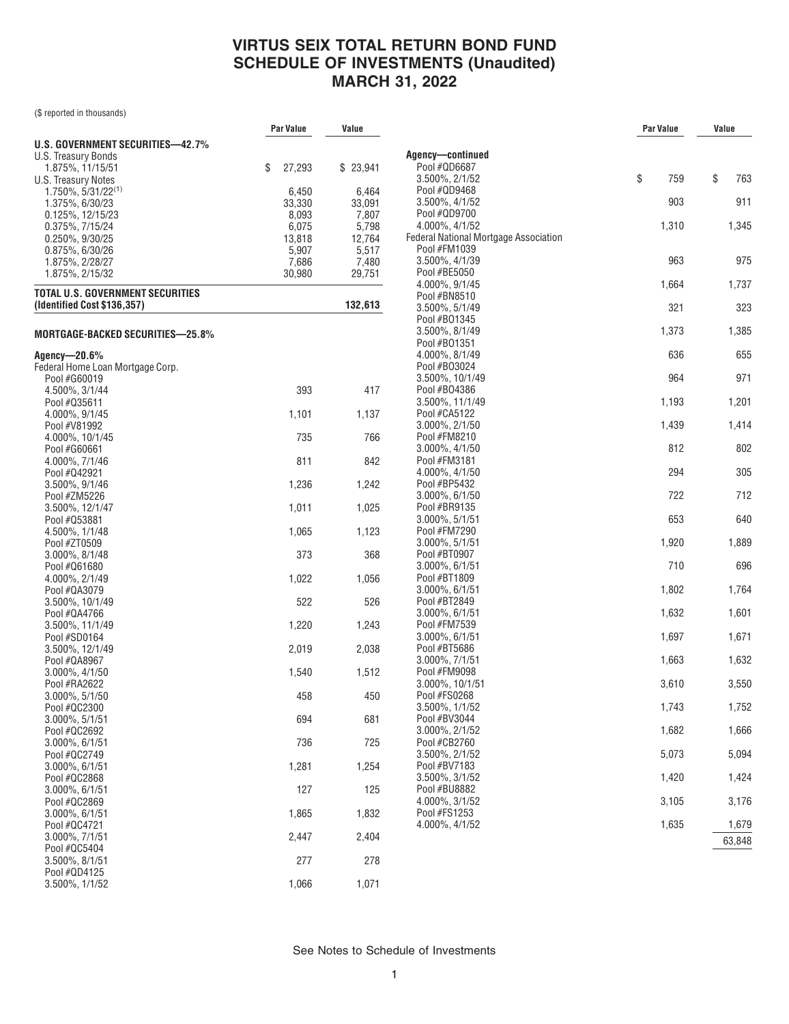(\$ reported in thousands)

|                                         | Par Value      | Value          |                                                       | Par Value | Value |        |
|-----------------------------------------|----------------|----------------|-------------------------------------------------------|-----------|-------|--------|
| U.S. GOVERNMENT SECURITIES-42.7%        |                |                |                                                       |           |       |        |
| U.S. Treasury Bonds                     |                |                | Agency-continued                                      |           |       |        |
| 1.875%, 11/15/51                        | \$<br>27,293   | \$23,941       | Pool #QD6687                                          |           |       |        |
| U.S. Treasury Notes                     |                |                | 3.500%, 2/1/52                                        | \$<br>759 | \$    | 763    |
| $1.750\%$ , 5/31/22 <sup>(1)</sup>      | 6,450          | 6,464          | Pool #QD9468                                          |           |       |        |
| 1.375%, 6/30/23                         | 33,330         | 33,091         | 3.500%, 4/1/52                                        | 903       |       | 911    |
| 0.125%, 12/15/23                        | 8,093          | 7,807          | Pool #QD9700                                          |           |       |        |
| 0.375%, 7/15/24                         | 6,075          | 5,798          | 4.000%, 4/1/52                                        | 1,310     |       | 1,345  |
| 0.250%, 9/30/25                         | 13,818         | 12,764         | Federal National Mortgage Association<br>Pool #FM1039 |           |       |        |
| 0.875%, 6/30/26<br>1.875%, 2/28/27      | 5,907<br>7,686 | 5,517<br>7,480 | 3.500%, 4/1/39                                        | 963       |       | 975    |
| 1.875%, 2/15/32                         | 30,980         | 29,751         | Pool #BE5050                                          |           |       |        |
|                                         |                |                | 4.000%, 9/1/45                                        | 1,664     |       | 1,737  |
| <b>TOTAL U.S. GOVERNMENT SECURITIES</b> |                |                | Pool #BN8510                                          |           |       |        |
| (Identified Cost \$136,357)             |                | 132,613        | 3.500%, 5/1/49                                        | 321       |       | 323    |
|                                         |                |                | Pool #B01345                                          |           |       |        |
| MORTGAGE-BACKED SECURITIES-25.8%        |                |                | 3.500%, 8/1/49                                        | 1,373     |       | 1,385  |
|                                         |                |                | Pool #B01351                                          |           |       |        |
| Agency—20.6%                            |                |                | 4.000%, 8/1/49                                        | 636       |       | 655    |
| Federal Home Loan Mortgage Corp.        |                |                | Pool #B03024                                          |           |       |        |
| Pool #G60019                            |                |                | 3.500%, 10/1/49                                       | 964       |       | 971    |
| 4.500%, 3/1/44                          | 393            | 417            | Pool #B04386                                          |           |       |        |
| Pool #035611                            |                |                | 3.500%, 11/1/49                                       | 1,193     |       | 1,201  |
| 4.000%, 9/1/45                          | 1,101          | 1,137          | Pool #CA5122                                          |           |       |        |
| Pool #V81992                            |                |                | 3.000%, 2/1/50                                        | 1,439     |       | 1,414  |
| 4.000%, 10/1/45                         | 735            | 766            | Pool #FM8210<br>3.000%, 4/1/50                        | 812       |       | 802    |
| Pool #G60661                            | 811            | 842            | Pool #FM3181                                          |           |       |        |
| 4.000%, 7/1/46<br>Pool #Q42921          |                |                | 4.000%, 4/1/50                                        | 294       |       | 305    |
| 3.500%, 9/1/46                          | 1,236          | 1,242          | Pool #BP5432                                          |           |       |        |
| Pool #ZM5226                            |                |                | 3.000%, 6/1/50                                        | 722       |       | 712    |
| $3.500\%$ , 12/1/47                     | 1,011          | 1,025          | Pool #BR9135                                          |           |       |        |
| Pool #053881                            |                |                | 3.000%, 5/1/51                                        | 653       |       | 640    |
| 4.500%, 1/1/48                          | 1,065          | 1,123          | Pool #FM7290                                          |           |       |        |
| Pool #ZT0509                            |                |                | 3.000%, 5/1/51                                        | 1,920     |       | 1,889  |
| 3.000%, 8/1/48                          | 373            | 368            | Pool #BT0907                                          |           |       |        |
| Pool #Q61680                            |                |                | 3.000%, 6/1/51                                        | 710       |       | 696    |
| 4.000%, 2/1/49                          | 1,022          | 1,056          | Pool #BT1809                                          |           |       |        |
| Pool #QA3079                            |                |                | 3.000%, 6/1/51                                        | 1,802     |       | 1,764  |
| $3.500\%$ , $10/1/49$                   | 522            | 526            | Pool #BT2849                                          |           |       |        |
| Pool #QA4766                            |                |                | 3.000%, 6/1/51                                        | 1,632     |       | 1,601  |
| $3.500\%$ , 11/1/49                     | 1,220          | 1,243          | Pool #FM7539                                          |           |       |        |
| Pool #SD0164                            |                |                | 3.000%, 6/1/51                                        | 1,697     |       | 1,671  |
| $3.500\%$ , 12/1/49                     | 2,019          | 2,038          | Pool #BT5686<br>3.000%, 7/1/51                        |           |       |        |
| Pool #QA8967                            |                |                | Pool #FM9098                                          | 1,663     |       | 1,632  |
| 3.000%, 4/1/50<br>Pool #RA2622          | 1,540          | 1,512          | 3.000%, 10/1/51                                       | 3,610     |       | 3,550  |
| 3.000%, 5/1/50                          | 458            | 450            | Pool #FS0268                                          |           |       |        |
| Pool #QC2300                            |                |                | 3.500%, 1/1/52                                        | 1,743     |       | 1,752  |
| 3.000%, 5/1/51                          | 694            | 681            | Pool #BV3044                                          |           |       |        |
| Pool #QC2692                            |                |                | 3.000%, 2/1/52                                        | 1,682     |       | 1,666  |
| 3.000%, 6/1/51                          | 736            | 725            | Pool #CB2760                                          |           |       |        |
| Pool #QC2749                            |                |                | 3.500%, 2/1/52                                        | 5,073     |       | 5,094  |
| 3.000%, 6/1/51                          | 1,281          | 1,254          | Pool #BV7183                                          |           |       |        |
| Pool #QC2868                            |                |                | 3.500%, 3/1/52                                        | 1,420     |       | 1,424  |
| 3.000%, 6/1/51                          | 127            | 125            | Pool #BU8882                                          |           |       |        |
| Pool #QC2869                            |                |                | 4.000%, 3/1/52                                        | 3,105     |       | 3,176  |
| $3.000\%$ , $6/1/51$                    | 1,865          | 1,832          | Pool #FS1253                                          |           |       |        |
| Pool #QC4721                            |                |                | 4.000%, 4/1/52                                        | 1,635     |       | 1,679  |
| 3.000%, 7/1/51                          | 2,447          | 2,404          |                                                       |           |       | 63,848 |
| Pool #QC5404                            |                |                |                                                       |           |       |        |
| $3.500\%$ , $8/1/51$                    | 277            | 278            |                                                       |           |       |        |
| Pool #QD4125                            |                |                |                                                       |           |       |        |
| 3.500%, 1/1/52                          | 1,066          | 1,071          |                                                       |           |       |        |
|                                         |                |                |                                                       |           |       |        |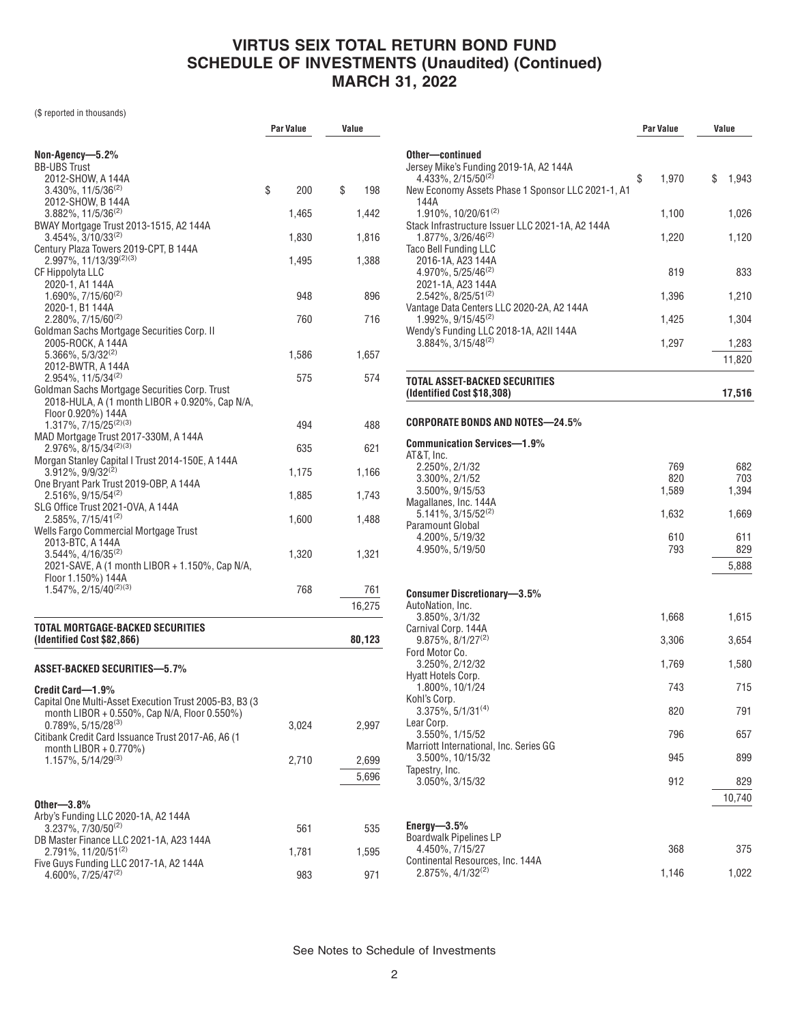(\$ reported in thousands)

|                                                                                | <b>Par Value</b> |       | Value     |  |
|--------------------------------------------------------------------------------|------------------|-------|-----------|--|
|                                                                                |                  |       |           |  |
| Non-Agency—5.2%<br><b>BB-UBS Trust</b>                                         |                  |       |           |  |
| 2012-SHOW, A 144A                                                              |                  |       |           |  |
| $3.430\%$ , 11/5/36 <sup>(2)</sup>                                             | \$               | 200   | \$<br>198 |  |
| 2012-SHOW, B 144A<br>$3.882\%$ , 11/5/36 <sup>(2)</sup>                        |                  | 1,465 | 1,442     |  |
| BWAY Mortgage Trust 2013-1515, A2 144A                                         |                  |       |           |  |
| 3.454%, 3/10/33(2)<br>Century Plaza Towers 2019-CPT, B 144A                    |                  | 1,830 | 1,816     |  |
| 2.997%, 11/13/39 <sup>(2)(3)</sup>                                             |                  | 1,495 | 1,388     |  |
| CF Hippolyta LLC                                                               |                  |       |           |  |
| 2020-1, A1 144A<br>$1.690\%$ , $7/15/60^{(2)}$                                 |                  | 948   | 896       |  |
| 2020-1, B1 144A                                                                |                  |       |           |  |
| 2.280%, 7/15/60(2)                                                             |                  | 760   | 716       |  |
| Goldman Sachs Mortgage Securities Corp. II<br>2005-ROCK, A 144A                |                  |       |           |  |
| $5.366\%$ , $5/3/32^{(2)}$                                                     |                  | 1,586 | 1,657     |  |
| 2012-BWTR, A 144A                                                              |                  |       |           |  |
| 2.954%, 11/5/34(2)<br>Goldman Sachs Mortgage Securities Corp. Trust            |                  | 575   | 574       |  |
| 2018-HULA, A (1 month LIBOR + 0.920%, Cap N/A,                                 |                  |       |           |  |
| Floor 0.920%) 144A                                                             |                  |       |           |  |
| 1.317%, 7/15/25 <sup>(2)(3)</sup><br>MAD Mortgage Trust 2017-330M, A 144A      |                  | 494   | 488       |  |
| 2.976%, 8/15/34 <sup>(2)(3)</sup>                                              |                  | 635   | 621       |  |
| Morgan Stanley Capital I Trust 2014-150E, A 144A<br>$3.912\%$ , $9/9/32^{(2)}$ |                  |       |           |  |
| One Bryant Park Trust 2019-OBP, A 144A                                         |                  | 1,175 | 1,166     |  |
| $2.516\%$ , 9/15/54 <sup>(2)</sup>                                             |                  | 1,885 | 1,743     |  |
| SLG Office Trust 2021-OVA, A 144A<br>$2.585\%, 7/15/41^{(2)}$                  |                  | 1,600 | 1,488     |  |
| Wells Fargo Commercial Mortgage Trust                                          |                  |       |           |  |
| 2013-BTC, A 144A                                                               |                  |       |           |  |
| $3.544\%$ , $4/16/35^{(2)}$<br>2021-SAVE, A (1 month LIBOR + 1.150%, Cap N/A,  |                  | 1,320 | 1,321     |  |
| Floor 1.150%) 144A                                                             |                  |       |           |  |
| 1.547%, 2/15/40 <sup>(2)(3)</sup>                                              |                  | 768   | 761       |  |
|                                                                                |                  |       | 16,275    |  |
| TOTAL MORTGAGE-BACKED SECURITIES                                               |                  |       |           |  |
| (Identified Cost \$82,866)                                                     |                  |       | 80,123    |  |
| ASSET-BACKED SECURITIES—5.7%                                                   |                  |       |           |  |
|                                                                                |                  |       |           |  |
| Credit Card-1.9%<br>Capital One Multi-Asset Execution Trust 2005-B3, B3 (3)    |                  |       |           |  |
| month LIBOR + 0.550%, Cap N/A, Floor 0.550%)                                   |                  |       |           |  |
| $0.789\%$ , 5/15/28 <sup>(3)</sup>                                             |                  | 3,024 | 2,997     |  |
| Citibank Credit Card Issuance Trust 2017-A6, A6 (1<br>month LIBOR + 0.770%)    |                  |       |           |  |
| $1.157\%$ , $5/14/29^{(3)}$                                                    |                  | 2,710 | 2,699     |  |
|                                                                                |                  |       | 5,696     |  |
|                                                                                |                  |       |           |  |
| Other- $-3.8\%$                                                                |                  |       |           |  |
| Arby's Funding LLC 2020-1A, A2 144A<br>3.237%, 7/30/50(2)                      |                  | 561   | 535       |  |
| DB Master Finance LLC 2021-1A, A23 144A                                        |                  |       |           |  |
| 2.791%, 11/20/51(2)<br>Five Guys Funding LLC 2017-1A, A2 144A                  |                  | 1,781 | 1,595     |  |
| 4.600%, 7/25/47 <sup>(2)</sup>                                                 |                  | 983   | 971       |  |

|                                                                                     | <b>Par Value</b> | Value        |  |
|-------------------------------------------------------------------------------------|------------------|--------------|--|
| Other—continued                                                                     |                  |              |  |
| Jersey Mike's Funding 2019-1A, A2 144A                                              |                  |              |  |
| $4.433\%, 2/15/50^{(2)}$<br>New Economy Assets Phase 1 Sponsor LLC 2021-1, A1       | \$<br>1,970      | \$<br>1,943  |  |
| 144A                                                                                |                  |              |  |
| 1.910%, 10/20/61 <sup>(2)</sup><br>Stack Infrastructure Issuer LLC 2021-1A, A2 144A | 1,100            | 1,026        |  |
| 1.877%, 3/26/46 <sup>(2)</sup>                                                      | 1,220            | 1,120        |  |
| <b>Taco Bell Funding LLC</b><br>2016-1A, A23 144A                                   |                  |              |  |
| $4.970\%$ , 5/25/46 <sup>(2)</sup>                                                  | 819              | 833          |  |
| 2021-1A, A23 144A<br>2.542%, 8/25/51(2)                                             | 1,396            | 1,210        |  |
| Vantage Data Centers LLC 2020-2A, A2 144A                                           |                  |              |  |
| $1.992\%$ , $9/15/45^{(2)}$<br>Wendy's Funding LLC 2018-1A, A2II 144A               | 1,425            | 1,304        |  |
| $3.884\%$ , $3/15/48^{(2)}$                                                         | 1,297            | 1,283        |  |
|                                                                                     |                  | 11,820       |  |
| TOTAL ASSET-BACKED SECURITIES                                                       |                  |              |  |
| (Identified Cost \$18,308)                                                          |                  | 17,516       |  |
| CORPORATE BONDS AND NOTES-24.5%                                                     |                  |              |  |
| Communication Services-1.9%                                                         |                  |              |  |
| AT&T, Inc.                                                                          |                  |              |  |
| 2.250%, 2/1/32                                                                      | 769              | 682          |  |
| 3.300%, 2/1/52<br>3.500%, 9/15/53                                                   | 820<br>1,589     | 703<br>1,394 |  |
| Magallanes, Inc. 144A                                                               |                  |              |  |
| $5.141\%, 3/15/52^{(2)}$                                                            | 1,632            | 1,669        |  |
| Paramount Global                                                                    |                  |              |  |
| 4.200%, 5/19/32<br>4.950%, 5/19/50                                                  | 610<br>793       | 611<br>829   |  |
|                                                                                     |                  | 5,888        |  |
|                                                                                     |                  |              |  |
| <b>Consumer Discretionary-3.5%</b>                                                  |                  |              |  |
| AutoNation, Inc.<br>3.850%, 3/1/32                                                  | 1,668            | 1,615        |  |
| Carnival Corp. 144A                                                                 |                  |              |  |
| $9.875\%$ , $8/1/27^{(2)}$<br>Ford Motor Co.                                        | 3,306            | 3,654        |  |
| 3.250%, 2/12/32<br>Hyatt Hotels Corp.                                               | 1,769            | 1,580        |  |
| 1.800%, 10/1/24                                                                     | 743              | 715          |  |
| Kohl's Corp.<br>3.375%, 5/1/31 <sup>(4)</sup>                                       | 820              | 791          |  |
| Lear Corp.                                                                          |                  |              |  |
| 3.550%, 1/15/52<br>Marriott International, Inc. Series GG                           | 796              | 657          |  |
| 3.500%, 10/15/32                                                                    | 945              | 899          |  |
| Tapestry, Inc.<br>3.050%, 3/15/32                                                   | 912              | 829          |  |
|                                                                                     |                  | 10,740       |  |
|                                                                                     |                  |              |  |
| Energy— $3.5\%$                                                                     |                  |              |  |
| <b>Boardwalk Pipelines LP</b><br>4.450%, 7/15/27                                    | 368              | 375          |  |
| Continental Resources, Inc. 144A                                                    |                  |              |  |
| $2.875\%, 4/1/32^{(2)}$                                                             | 1,146            | 1,022        |  |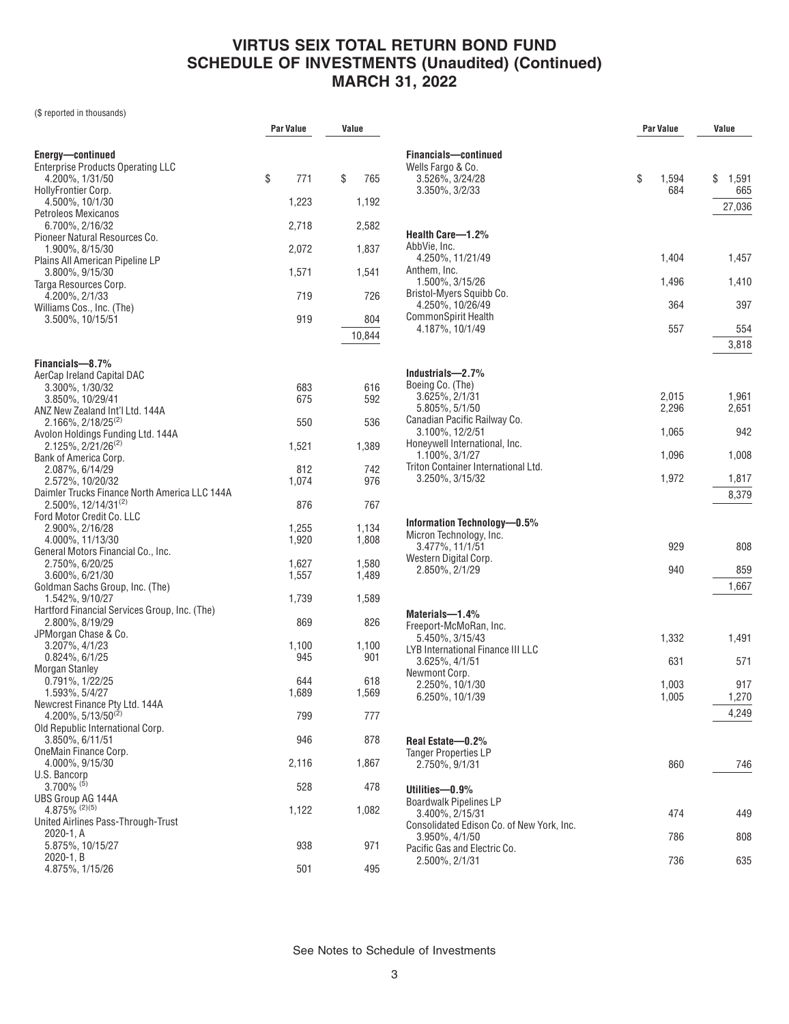(\$ reported in thousands)

|                                                                  | <b>Par Value</b> | Value     |                                                | <b>Par Value</b> | Value       |
|------------------------------------------------------------------|------------------|-----------|------------------------------------------------|------------------|-------------|
|                                                                  |                  |           |                                                |                  |             |
| Energy-continued                                                 |                  |           | Financials-continued                           |                  |             |
| <b>Enterprise Products Operating LLC</b><br>4.200%, 1/31/50      | \$<br>771        | \$<br>765 | Wells Fargo & Co.<br>3.526%, 3/24/28           | \$<br>1,594      | \$<br>1,591 |
| HollyFrontier Corp.                                              |                  |           | 3.350%, 3/2/33                                 | 684              | 665         |
| 4.500%, 10/1/30                                                  | 1,223            | 1,192     |                                                |                  |             |
| Petroleos Mexicanos                                              |                  |           |                                                |                  | 27,036      |
| 6.700%, 2/16/32                                                  | 2,718            | 2,582     |                                                |                  |             |
| Pioneer Natural Resources Co.                                    |                  |           | Health Care-1.2%                               |                  |             |
| 1.900%, 8/15/30                                                  | 2,072            | 1,837     | AbbVie, Inc.                                   |                  |             |
| Plains All American Pipeline LP                                  |                  |           | 4.250%, 11/21/49                               | 1,404            | 1,457       |
| $3.800\%$ , $9/15/30$                                            | 1,571            | 1,541     | Anthem, Inc.                                   |                  |             |
| Targa Resources Corp.                                            |                  |           | 1.500%, 3/15/26<br>Bristol-Myers Squibb Co.    | 1,496            | 1,410       |
| 4.200%, 2/1/33                                                   | 719              | 726       | 4.250%, 10/26/49                               | 364              | 397         |
| Williams Cos., Inc. (The)                                        | 919              | 804       | CommonSpirit Health                            |                  |             |
| 3.500%, 10/15/51                                                 |                  |           | 4.187%, 10/1/49                                | 557              | 554         |
|                                                                  |                  | 10,844    |                                                |                  |             |
|                                                                  |                  |           |                                                |                  | 3,818       |
| Financials-8.7%                                                  |                  |           |                                                |                  |             |
| AerCap Ireland Capital DAC                                       |                  |           | Industrials-2.7%                               |                  |             |
| 3.300%, 1/30/32                                                  | 683              | 616       | Boeing Co. (The)<br>$3.625\%$ , $2/1/31$       | 2,015            | 1,961       |
| 3.850%, 10/29/41                                                 | 675              | 592       | 5.805%, 5/1/50                                 | 2,296            | 2,651       |
| ANZ New Zealand Int'l Ltd. 144A                                  |                  |           | Canadian Pacific Railway Co.                   |                  |             |
| $2.166\%$ , $2/18/25^{(2)}$                                      | 550              | 536       | 3.100%, 12/2/51                                | 1,065            | 942         |
| Avolon Holdings Funding Ltd. 144A<br>$2.125\%, 2/21/26^{(2)}$    | 1,521            | 1,389     | Honeywell International, Inc.                  |                  |             |
| Bank of America Corp.                                            |                  |           | 1.100%, 3/1/27                                 | 1,096            | 1,008       |
| 2.087%, 6/14/29                                                  | 812              | 742       | Triton Container International Ltd.            |                  |             |
| 2.572%, 10/20/32                                                 | 1,074            | 976       | 3.250%, 3/15/32                                | 1,972            | 1,817       |
| Daimler Trucks Finance North America LLC 144A                    |                  |           |                                                |                  | 8,379       |
| 2.500%, 12/14/31(2)                                              | 876              | 767       |                                                |                  |             |
| Ford Motor Credit Co. LLC                                        |                  |           |                                                |                  |             |
| 2.900%, 2/16/28                                                  | 1,255            | 1,134     | Information Technology-0.5%                    |                  |             |
| 4.000%, 11/13/30                                                 | 1,920            | 1,808     | Micron Technology, Inc.<br>3.477%, 11/1/51     | 929              | 808         |
| General Motors Financial Co., Inc.                               |                  |           | Western Digital Corp.                          |                  |             |
| 2.750%, 6/20/25                                                  | 1,627            | 1,580     | 2.850%, 2/1/29                                 | 940              | 859         |
| 3.600%, 6/21/30                                                  | 1,557            | 1,489     |                                                |                  |             |
| Goldman Sachs Group, Inc. (The)                                  |                  |           |                                                |                  | 1,667       |
| 1.542%, 9/10/27                                                  | 1,739            | 1,589     |                                                |                  |             |
| Hartford Financial Services Group, Inc. (The)<br>2.800%, 8/19/29 | 869              | 826       | Materials-1.4%                                 |                  |             |
| JPMorgan Chase & Co.                                             |                  |           | Freeport-McMoRan, Inc.                         |                  |             |
| 3.207%, 4/1/23                                                   | 1,100            | 1,100     | 5.450%, 3/15/43                                | 1,332            | 1,491       |
| $0.824\%$ , $6/1/25$                                             | 945              | 901       | LYB International Finance III LLC              |                  |             |
| Morgan Stanley                                                   |                  |           | 3.625%, 4/1/51<br>Newmont Corp.                | 631              | 571         |
| 0.791%, 1/22/25                                                  | 644              | 618       | 2.250%, 10/1/30                                | 1,003            | 917         |
| 1.593%, 5/4/27                                                   | 1,689            | 1,569     | 6.250%, 10/1/39                                | 1,005            | 1,270       |
| Newcrest Finance Pty Ltd. 144A                                   |                  |           |                                                |                  |             |
| 4.200%, $5/13/50^{(2)}$                                          | 799              | 777       |                                                |                  | 4,249       |
| Old Republic International Corp.                                 |                  |           |                                                |                  |             |
| 3.850%, 6/11/51                                                  | 946              | 878       | Real Estate-0.2%                               |                  |             |
| OneMain Finance Corp.                                            |                  |           | <b>Tanger Properties LP</b>                    |                  |             |
| 4.000%, 9/15/30                                                  | 2,116            | 1,867     | 2.750%, 9/1/31                                 | 860              | 746         |
| U.S. Bancorp<br>$3.700\%$ <sup>(5)</sup>                         |                  |           |                                                |                  |             |
|                                                                  | 528              | 478       | Utilities-0.9%                                 |                  |             |
| UBS Group AG 144A<br>$4.875\%$ <sup>(2)(5)</sup>                 | 1,122            | 1,082     | <b>Boardwalk Pipelines LP</b>                  |                  |             |
| United Airlines Pass-Through-Trust                               |                  |           | 3.400%, 2/15/31                                | 474              | 449         |
| 2020-1, A                                                        |                  |           | Consolidated Edison Co. of New York, Inc.      |                  |             |
| 5.875%, 10/15/27                                                 | 938              | 971       | 3.950%, 4/1/50<br>Pacific Gas and Electric Co. | 786              | 808         |
| $2020 - 1$ , B                                                   |                  |           | 2.500%, 2/1/31                                 | 736              | 635         |
| 4.875%, 1/15/26                                                  | 501              | 495       |                                                |                  |             |
|                                                                  |                  |           |                                                |                  |             |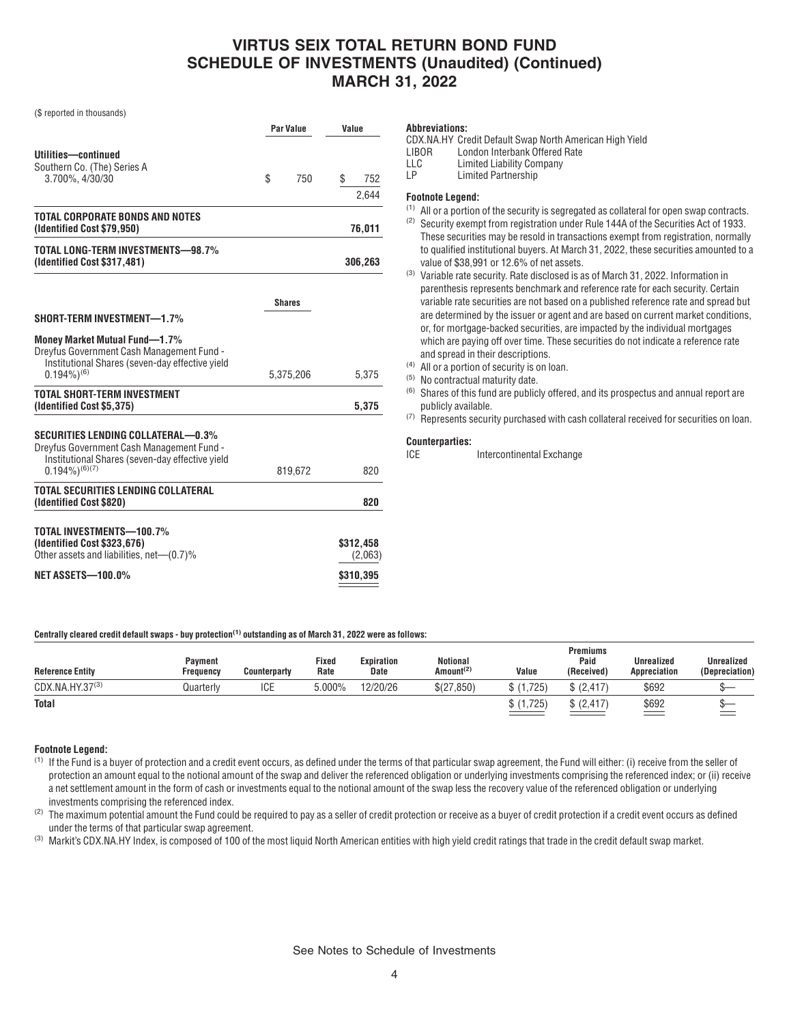(\$ reported in thousands)

|                                                                                                                                                                  | Par Value |               | Value |                      |  |
|------------------------------------------------------------------------------------------------------------------------------------------------------------------|-----------|---------------|-------|----------------------|--|
| Utilities-continued<br>Southern Co. (The) Series A<br>3.700%, 4/30/30                                                                                            | \$        | 750           | \$    | 752<br>2,644         |  |
| TOTAL CORPORATE BONDS AND NOTES                                                                                                                                  |           |               |       |                      |  |
| (Identified Cost \$79,950)                                                                                                                                       |           |               |       | 76,011               |  |
| TOTAL LONG-TERM INVESTMENTS-98.7%<br>(Identified Cost \$317,481)                                                                                                 |           |               |       | 306,263              |  |
|                                                                                                                                                                  |           | <b>Shares</b> |       |                      |  |
| SHORT-TERM INVESTMENT-1.7%                                                                                                                                       |           |               |       |                      |  |
| <b>Money Market Mutual Fund-1.7%</b><br>Dreyfus Government Cash Management Fund -<br>Institutional Shares (seven-day effective yield<br>$0.194\%$ <sup>(6)</sup> |           | 5,375,206     |       | 5,375                |  |
| <b>TOTAL SHORT-TERM INVESTMENT</b>                                                                                                                               |           |               |       |                      |  |
| (Identified Cost \$5,375)                                                                                                                                        |           |               |       | 5,375                |  |
| SECURITIES LENDING COLLATERAL-0.3%<br>Dreyfus Government Cash Management Fund -<br>Institutional Shares (seven-day effective yield<br>$(0.194\%)^{(6)(7)}$       |           | 819,672       |       | 820                  |  |
| TOTAL SECURITIES LENDING COLLATERAL                                                                                                                              |           |               |       |                      |  |
| (Identified Cost \$820)                                                                                                                                          |           |               |       | 820                  |  |
| TOTAL INVESTMENTS-100.7%                                                                                                                                         |           |               |       |                      |  |
| (Identified Cost \$323,676)<br>Other assets and liabilities, net-(0.7)%                                                                                          |           |               |       | \$312,458<br>(2,063) |  |
| <b>NET ASSETS-100.0%</b>                                                                                                                                         |           |               |       | \$310,395            |  |

#### **Abbreviations:**

LLC Limited Liability Company<br>LP Limited Partnership

Limited Partnership

### **Footnote Legend:**

- $(1)$  All or a portion of the security is segregated as collateral for open swap contracts.
- (2) Security exempt from registration under Rule 144A of the Securities Act of 1933. These securities may be resold in transactions exempt from registration, normally to qualified institutional buyers. At March 31, 2022, these securities amounted to a
- value of \$38,991 or 12.6% of net assets. (3) Variable rate security. Rate disclosed is as of March 31, 2022. Information in parenthesis represents benchmark and reference rate for each security. Certain variable rate securities are not based on a published reference rate and spread but are determined by the issuer or agent and are based on current market conditions, or, for mortgage-backed securities, are impacted by the individual mortgages which are paying off over time. These securities do not indicate a reference rate
- and spread in their descriptions. (4) All or a portion of security is on loan.
- (5) No contractual maturity date.
- (6) Shares of this fund are publicly offered, and its prospectus and annual report are publicly available.
- (7) Represents security purchased with cash collateral received for securities on loan.

### **Counterparties:**

#### **Centrally cleared credit default swaps - buy protection(1) outstanding as of March 31, 2022 were as follows:**

| <b>Reference Entity</b> | Payment<br>Freauencv | <b>Counterparty</b> | Fixed<br>Rate | Expiration<br><b>Date</b> | Notional<br>Amount <sup>(2)</sup> | Value | <b>Premiums</b><br>Paid<br>(Received) | Unrealized<br>Appreciation | <b>Unrealized</b><br>(Depreciation) |
|-------------------------|----------------------|---------------------|---------------|---------------------------|-----------------------------------|-------|---------------------------------------|----------------------------|-------------------------------------|
| CDX.NA.HY.37(3)         | Quarterly            | <b>ICE</b>          | 5.000%        | 12/20/26                  | \$(27,850)                        | ,725  | \$(2.417)                             | \$692                      |                                     |
| <b>Total</b>            |                      |                     |               |                           |                                   | ,725  | \$(2.417)                             | \$692                      |                                     |

#### **Footnote Legend:**

- $<sup>(1)</sup>$  If the Fund is a buyer of protection and a credit event occurs, as defined under the terms of that particular swap agreement, the Fund will either: (i) receive from the seller of</sup> protection an amount equal to the notional amount of the swap and deliver the referenced obligation or underlying investments comprising the referenced index; or (ii) receive a net settlement amount in the form of cash or investments equal to the notional amount of the swap less the recovery value of the referenced obligation or underlying investments comprising the referenced index.
- $<sup>(2)</sup>$  The maximum potential amount the Fund could be required to pay as a seller of credit protection or receive as a buyer of credit protection if a credit event occurs as defined</sup> under the terms of that particular swap agreement.
- <sup>(3)</sup> Markit's CDX.NA.HY Index, is composed of 100 of the most liquid North American entities with high yield credit ratings that trade in the credit default swap market.

CDX.NA.HY Credit Default Swap North American High Yield LIBOR London Interbank Offered Rate<br>LLC Limited Liability Company

ICE Intercontinental Exchange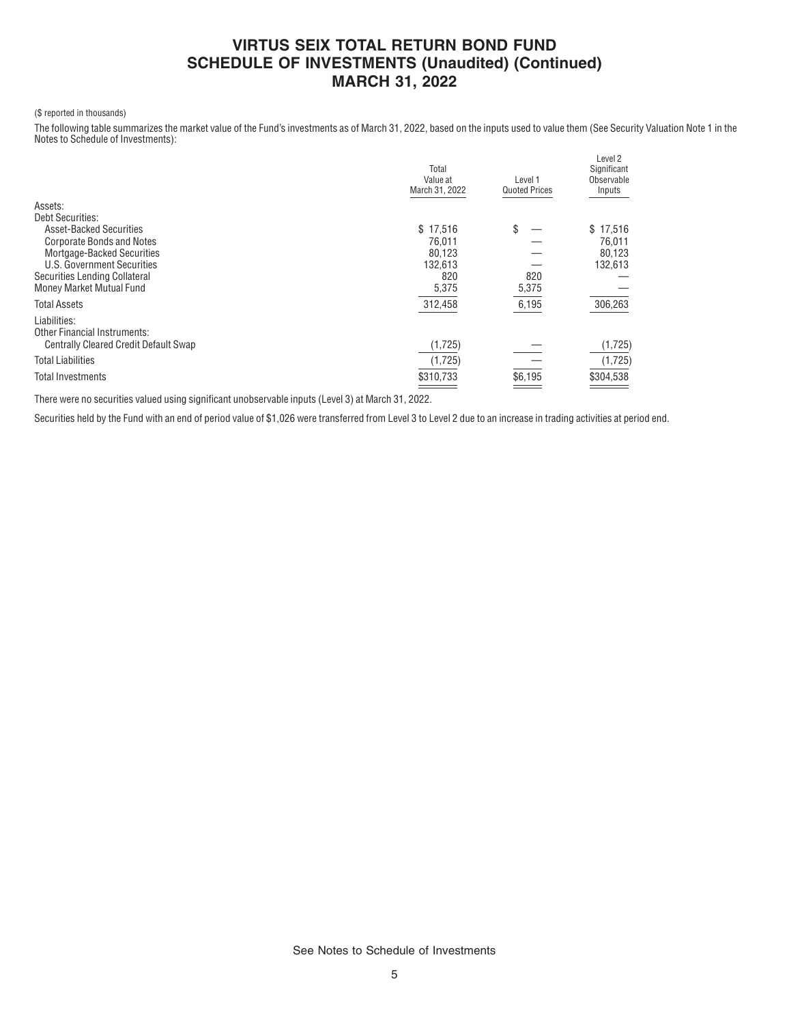### (\$ reported in thousands)

The following table summarizes the market value of the Fund's investments as of March 31, 2022, based on the inputs used to value them (See Security Valuation Note 1 in the Notes to Schedule of Investments):

|                                                     | Total<br>Value at<br>March 31, 2022 | Level 1<br><b>Quoted Prices</b> | Level 2<br>Significant<br>Observable<br>Inputs |
|-----------------------------------------------------|-------------------------------------|---------------------------------|------------------------------------------------|
| Assets:                                             |                                     |                                 |                                                |
| Debt Securities:                                    |                                     |                                 |                                                |
| <b>Asset-Backed Securities</b>                      | \$17,516                            | \$                              | \$17,516                                       |
| <b>Corporate Bonds and Notes</b>                    | 76.011                              |                                 | 76.011                                         |
| Mortgage-Backed Securities                          | 80,123                              |                                 | 80,123                                         |
| U.S. Government Securities                          | 132,613                             |                                 | 132,613                                        |
| Securities Lending Collateral                       | 820                                 | 820                             |                                                |
| Money Market Mutual Fund                            | 5,375                               | 5,375                           |                                                |
| <b>Total Assets</b>                                 | 312,458                             | 6,195                           | 306,263                                        |
| Liabilities:<br><b>Other Financial Instruments:</b> |                                     |                                 |                                                |
| <b>Centrally Cleared Credit Default Swap</b>        | (1,725)                             |                                 | (1,725)                                        |
| <b>Total Liabilities</b>                            | (1,725)                             |                                 | (1,725)                                        |
| Total Investments                                   | \$310,733                           | \$6,195                         | \$304,538                                      |

There were no securities valued using significant unobservable inputs (Level 3) at March 31, 2022.

Securities held by the Fund with an end of period value of \$1,026 were transferred from Level 3 to Level 2 due to an increase in trading activities at period end.